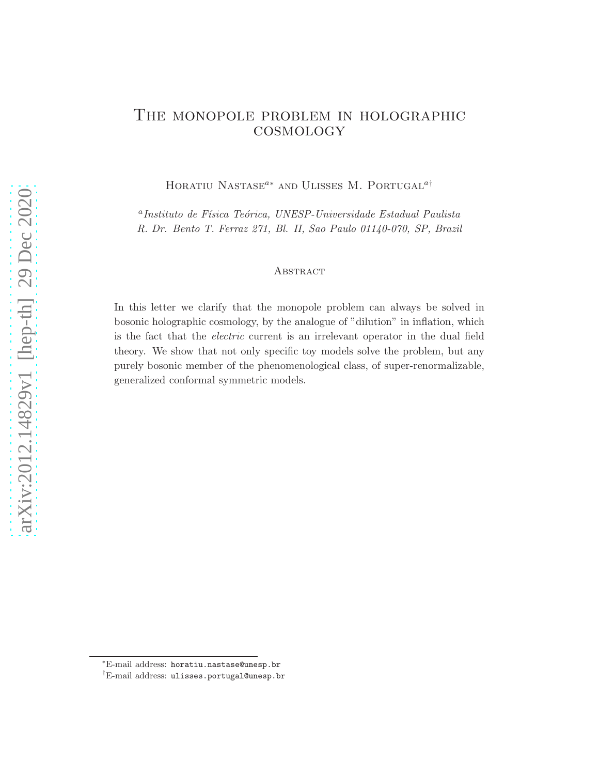# The monopole problem in holographic **COSMOLOGY**

HORATIU NASTASE<sup> $a*$ </sup> AND ULISSES M. PORTUGAL<sup> $a\dagger$ </sup>

<sup>a</sup> Instituto de Física Teórica, UNESP-Universidade Estadual Paulista R. Dr. Bento T. Ferraz 271, Bl. II, Sao Paulo 01140-070, SP, Brazil

### **ABSTRACT**

In this letter we clarify that the monopole problem can always be solved in bosonic holographic cosmology, by the analogue of "dilution" in inflation, which is the fact that the electric current is an irrelevant operator in the dual field theory. We show that not only specific toy models solve the problem, but any purely bosonic member of the phenomenological class, of super-renormalizable, generalized conformal symmetric models.

<sup>∗</sup>E-mail address: horatiu.nastase@unesp.br

<sup>†</sup>E-mail address: ulisses.portugal@unesp.br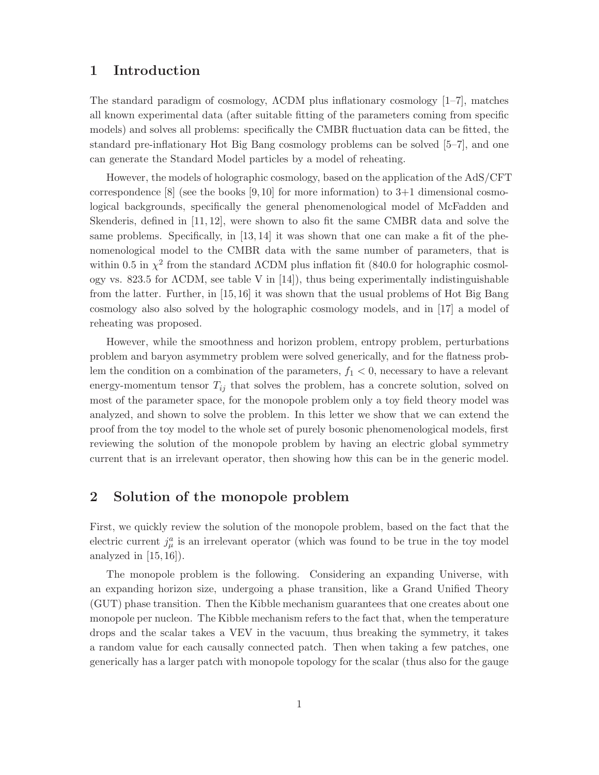## 1 Introduction

The standard paradigm of cosmology, ΛCDM plus inflationary cosmology [1–7], matches all known experimental data (after suitable fitting of the parameters coming from specific models) and solves all problems: specifically the CMBR fluctuation data can be fitted, the standard pre-inflationary Hot Big Bang cosmology problems can be solved [5–7], and one can generate the Standard Model particles by a model of reheating.

However, the models of holographic cosmology, based on the application of the AdS/CFT correspondence  $[8]$  (see the books  $[9, 10]$  for more information) to  $3+1$  dimensional cosmological backgrounds, specifically the general phenomenological model of McFadden and Skenderis, defined in [11, 12], were shown to also fit the same CMBR data and solve the same problems. Specifically, in [13, 14] it was shown that one can make a fit of the phenomenological model to the CMBR data with the same number of parameters, that is within 0.5 in  $\chi^2$  from the standard  $\Lambda$ CDM plus inflation fit (840.0 for holographic cosmology vs. 823.5 for ΛCDM, see table V in [14]), thus being experimentally indistinguishable from the latter. Further, in [15, 16] it was shown that the usual problems of Hot Big Bang cosmology also also solved by the holographic cosmology models, and in [17] a model of reheating was proposed.

However, while the smoothness and horizon problem, entropy problem, perturbations problem and baryon asymmetry problem were solved generically, and for the flatness problem the condition on a combination of the parameters,  $f_1 < 0$ , necessary to have a relevant energy-momentum tensor  $T_{ij}$  that solves the problem, has a concrete solution, solved on most of the parameter space, for the monopole problem only a toy field theory model was analyzed, and shown to solve the problem. In this letter we show that we can extend the proof from the toy model to the whole set of purely bosonic phenomenological models, first reviewing the solution of the monopole problem by having an electric global symmetry current that is an irrelevant operator, then showing how this can be in the generic model.

## 2 Solution of the monopole problem

First, we quickly review the solution of the monopole problem, based on the fact that the electric current  $j^a_\mu$  is an irrelevant operator (which was found to be true in the toy model analyzed in  $[15, 16]$ .

The monopole problem is the following. Considering an expanding Universe, with an expanding horizon size, undergoing a phase transition, like a Grand Unified Theory (GUT) phase transition. Then the Kibble mechanism guarantees that one creates about one monopole per nucleon. The Kibble mechanism refers to the fact that, when the temperature drops and the scalar takes a VEV in the vacuum, thus breaking the symmetry, it takes a random value for each causally connected patch. Then when taking a few patches, one generically has a larger patch with monopole topology for the scalar (thus also for the gauge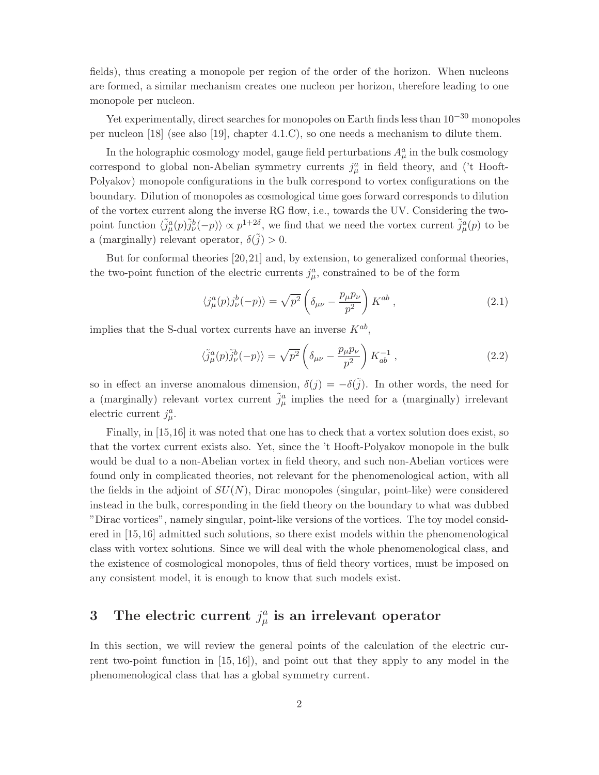fields), thus creating a monopole per region of the order of the horizon. When nucleons are formed, a similar mechanism creates one nucleon per horizon, therefore leading to one monopole per nucleon.

Yet experimentally, direct searches for monopoles on Earth finds less than  $10^{-30}$  monopoles per nucleon [18] (see also [19], chapter 4.1.C), so one needs a mechanism to dilute them.

In the holographic cosmology model, gauge field perturbations  $A^a_\mu$  in the bulk cosmology correspond to global non-Abelian symmetry currents  $j^a_\mu$  in field theory, and ('t Hooft-Polyakov) monopole configurations in the bulk correspond to vortex configurations on the boundary. Dilution of monopoles as cosmological time goes forward corresponds to dilution of the vortex current along the inverse RG flow, i.e., towards the UV. Considering the twopoint function  $\langle \tilde{j}_{\mu}^{a}(p)\tilde{j}_{\nu}^{b}(-p)\rangle \propto p^{1+2\delta}$ , we find that we need the vortex current  $\tilde{j}_{\mu}^{a}(p)$  to be a (marginally) relevant operator,  $\delta(\tilde{j}) > 0$ .

But for conformal theories [20,21] and, by extension, to generalized conformal theories, the two-point function of the electric currents  $j^a_\mu$ , constrained to be of the form

$$
\langle j^a_\mu(p) j^b_\nu(-p) \rangle = \sqrt{p^2} \left( \delta_{\mu\nu} - \frac{p_\mu p_\nu}{p^2} \right) K^{ab} , \qquad (2.1)
$$

implies that the S-dual vortex currents have an inverse  $K^{ab}$ ,

$$
\langle \tilde{j}_{\mu}^{a}(p)\tilde{j}_{\nu}^{b}(-p)\rangle = \sqrt{p^{2}}\left(\delta_{\mu\nu} - \frac{p_{\mu}p_{\nu}}{p^{2}}\right)K_{ab}^{-1},\qquad(2.2)
$$

so in effect an inverse anomalous dimension,  $\delta(j) = -\delta(j)$ . In other words, the need for a (marginally) relevant vortex current  $\tilde{j}^a_\mu$  implies the need for a (marginally) irrelevant electric current  $j^a_\mu$ .

Finally, in [15,16] it was noted that one has to check that a vortex solution does exist, so that the vortex current exists also. Yet, since the 't Hooft-Polyakov monopole in the bulk would be dual to a non-Abelian vortex in field theory, and such non-Abelian vortices were found only in complicated theories, not relevant for the phenomenological action, with all the fields in the adjoint of  $SU(N)$ , Dirac monopoles (singular, point-like) were considered instead in the bulk, corresponding in the field theory on the boundary to what was dubbed "Dirac vortices", namely singular, point-like versions of the vortices. The toy model considered in [15,16] admitted such solutions, so there exist models within the phenomenological class with vortex solutions. Since we will deal with the whole phenomenological class, and the existence of cosmological monopoles, thus of field theory vortices, must be imposed on any consistent model, it is enough to know that such models exist.

#### 3 The electric current  $j^a_\mu$  $_{\mu }^{a}$  is an irrelevant operator

In this section, we will review the general points of the calculation of the electric current two-point function in [15, 16]), and point out that they apply to any model in the phenomenological class that has a global symmetry current.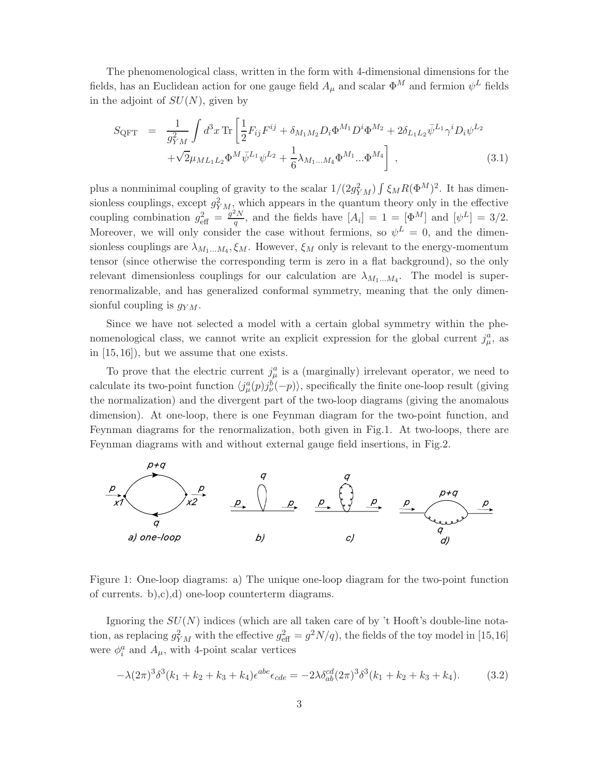The phenomenological class, written in the form with 4-dimensional dimensions for the fields, has an Euclidean action for one gauge field  $A_\mu$  and scalar  $\Phi^M$  and fermion  $\psi^L$  fields in the adjoint of  $SU(N)$ , given by

$$
S_{\text{QFT}} = \frac{1}{g_{YM}^2} \int d^3x \,\text{Tr} \left[ \frac{1}{2} F_{ij} F^{ij} + \delta_{M_1 M_2} D_i \Phi^{M_1} D^i \Phi^{M_2} + 2 \delta_{L_1 L_2} \bar{\psi}^{L_1} \gamma^i D_i \psi^{L_2} \right. \\ \left. + \sqrt{2} \mu_{ML_1 L_2} \Phi^M \bar{\psi}^{L_1} \psi^{L_2} + \frac{1}{6} \lambda_{M_1 \dots M_4} \Phi^{M_1} \dots \Phi^{M_4} \right], \tag{3.1}
$$

plus a nonminimal coupling of gravity to the scalar  $1/(2g_{YM}^2)\int \xi_M R(\Phi^M)^2$ . It has dimensionless couplings, except  $g_{YM}^2$ , which appears in the quantum theory only in the effective coupling combination  $g_{\text{eff}}^2 = \frac{g^2 N}{q}$  $\frac{d^2N}{q}$ , and the fields have  $[A_i] = 1 = [\Phi^M]$  and  $[\psi^L] = 3/2$ . Moreover, we will only consider the case without fermions, so  $\psi^L = 0$ , and the dimensionless couplings are  $\lambda_{M_1...M_4}$ ,  $\xi_M$ . However,  $\xi_M$  only is relevant to the energy-momentum tensor (since otherwise the corresponding term is zero in a flat background), so the only relevant dimensionless couplings for our calculation are  $\lambda_{M_1...M_4}$ . The model is superrenormalizable, and has generalized conformal symmetry, meaning that the only dimensionful coupling is  $g_{YM}$ .

Since we have not selected a model with a certain global symmetry within the phenomenological class, we cannot write an explicit expression for the global current  $j^a_\mu$ , as in [15, 16]), but we assume that one exists.

To prove that the electric current  $j^a_\mu$  is a (marginally) irrelevant operator, we need to calculate its two-point function  $\langle j^a_\mu(p) j^b_\nu(-p) \rangle$ , specifically the finite one-loop result (giving the normalization) and the divergent part of the two-loop diagrams (giving the anomalous dimension). At one-loop, there is one Feynman diagram for the two-point function, and Feynman diagrams for the renormalization, both given in Fig.1. At two-loops, there are Feynman diagrams with and without external gauge field insertions, in Fig.2.



Figure 1: One-loop diagrams: a) The unique one-loop diagram for the two-point function of currents. b),c),d) one-loop counterterm diagrams.

Ignoring the  $SU(N)$  indices (which are all taken care of by 't Hooft's double-line notation, as replacing  $g_{YM}^2$  with the effective  $g_{\text{eff}}^2 = g^2 N/q$ , the fields of the toy model in [15,16] were  $\phi_i^a$  and  $A_\mu$ , with 4-point scalar vertices

$$
-\lambda(2\pi)^3\delta^3(k_1+k_2+k_3+k_4)\epsilon^{abe}\epsilon_{cde} = -2\lambda\delta^{cd}_{ab}(2\pi)^3\delta^3(k_1+k_2+k_3+k_4). \tag{3.2}
$$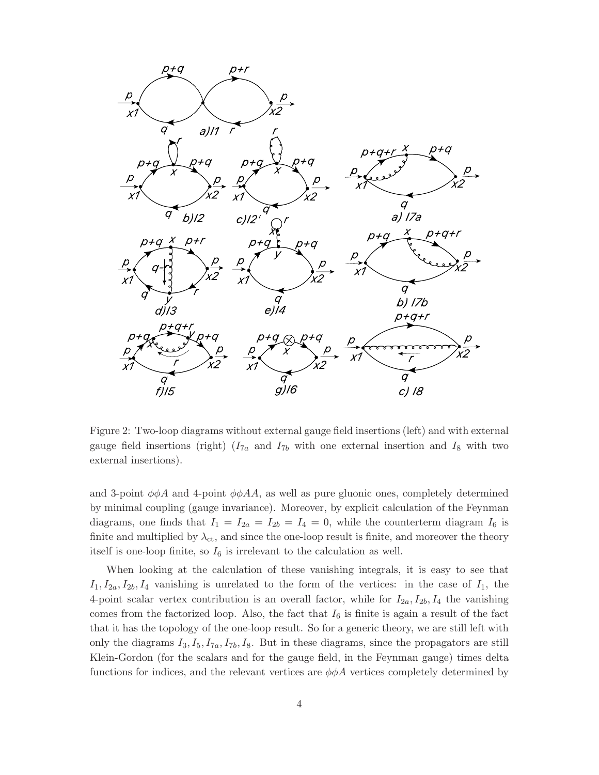

Figure 2: Two-loop diagrams without external gauge field insertions (left) and with external gauge field insertions (right)  $(I_{7a}$  and  $I_{7b}$  with one external insertion and  $I_8$  with two external insertions).

and 3-point  $\phi \phi A$  and 4-point  $\phi \phi A A$ , as well as pure gluonic ones, completely determined by minimal coupling (gauge invariance). Moreover, by explicit calculation of the Feynman diagrams, one finds that  $I_1 = I_{2a} = I_{2b} = I_4 = 0$ , while the counterterm diagram  $I_6$  is finite and multiplied by  $\lambda_{\rm ct}$ , and since the one-loop result is finite, and moreover the theory itself is one-loop finite, so  $I_6$  is irrelevant to the calculation as well.

When looking at the calculation of these vanishing integrals, it is easy to see that  $I_1, I_{2a}, I_{2b}, I_4$  vanishing is unrelated to the form of the vertices: in the case of  $I_1$ , the 4-point scalar vertex contribution is an overall factor, while for  $I_{2a}$ ,  $I_{2b}$ ,  $I_4$  the vanishing comes from the factorized loop. Also, the fact that  $I_6$  is finite is again a result of the fact that it has the topology of the one-loop result. So for a generic theory, we are still left with only the diagrams  $I_3, I_5, I_{7a}, I_{7b}, I_8$ . But in these diagrams, since the propagators are still Klein-Gordon (for the scalars and for the gauge field, in the Feynman gauge) times delta functions for indices, and the relevant vertices are  $\phi\phi A$  vertices completely determined by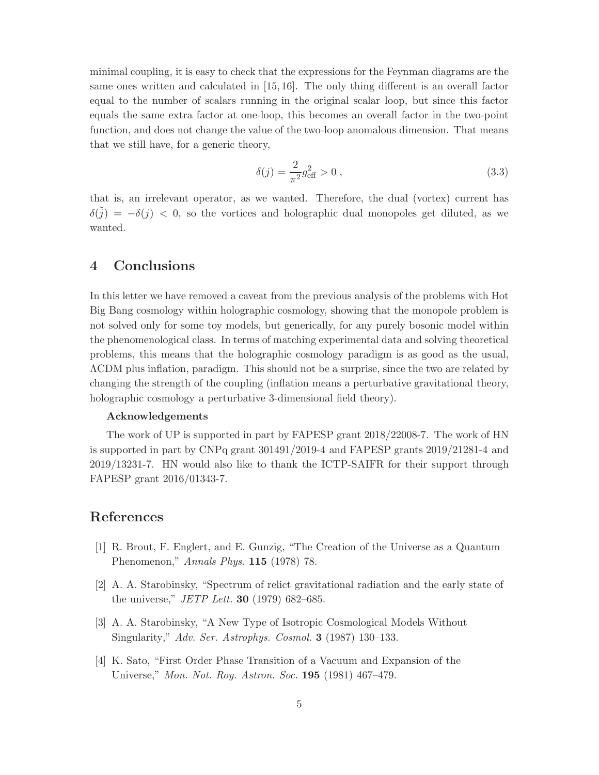minimal coupling, it is easy to check that the expressions for the Feynman diagrams are the same ones written and calculated in [15, 16]. The only thing different is an overall factor equal to the number of scalars running in the original scalar loop, but since this factor equals the same extra factor at one-loop, this becomes an overall factor in the two-point function, and does not change the value of the two-loop anomalous dimension. That means that we still have, for a generic theory,

$$
\delta(j) = \frac{2}{\pi^2} g_{\text{eff}}^2 > 0 \,, \tag{3.3}
$$

that is, an irrelevant operator, as we wanted. Therefore, the dual (vortex) current has  $\delta(\tilde{j}) = -\delta(j) < 0$ , so the vortices and holographic dual monopoles get diluted, as we wanted.

## 4 Conclusions

In this letter we have removed a caveat from the previous analysis of the problems with Hot Big Bang cosmology within holographic cosmology, showing that the monopole problem is not solved only for some toy models, but generically, for any purely bosonic model within the phenomenological class. In terms of matching experimental data and solving theoretical problems, this means that the holographic cosmology paradigm is as good as the usual, ΛCDM plus inflation, paradigm. This should not be a surprise, since the two are related by changing the strength of the coupling (inflation means a perturbative gravitational theory, holographic cosmology a perturbative 3-dimensional field theory).

### Acknowledgements

The work of UP is supported in part by FAPESP grant 2018/22008-7. The work of HN is supported in part by CNPq grant 301491/2019-4 and FAPESP grants 2019/21281-4 and 2019/13231-7. HN would also like to thank the ICTP-SAIFR for their support through FAPESP grant 2016/01343-7.

### References

- [1] R. Brout, F. Englert, and E. Gunzig, "The Creation of the Universe as a Quantum Phenomenon," Annals Phys. 115 (1978) 78.
- [2] A. A. Starobinsky, "Spectrum of relict gravitational radiation and the early state of the universe," *JETP Lett.* **30** (1979) 682–685.
- [3] A. A. Starobinsky, "A New Type of Isotropic Cosmological Models Without Singularity," Adv. Ser. Astrophys. Cosmol. 3 (1987) 130–133.
- [4] K. Sato, "First Order Phase Transition of a Vacuum and Expansion of the Universe," Mon. Not. Roy. Astron. Soc. 195 (1981) 467–479.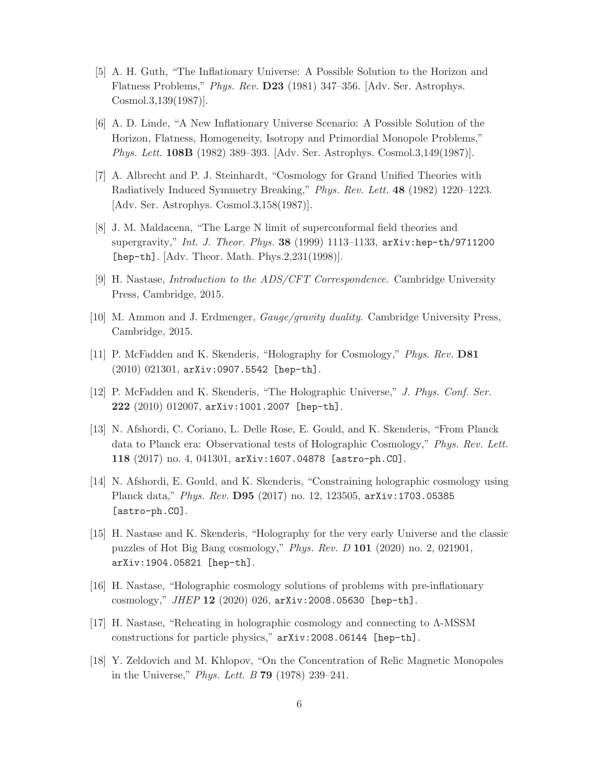- [5] A. H. Guth, "The Inflationary Universe: A Possible Solution to the Horizon and Flatness Problems," Phys. Rev. D23 (1981) 347–356. [Adv. Ser. Astrophys. Cosmol.3,139(1987)].
- [6] A. D. Linde, "A New Inflationary Universe Scenario: A Possible Solution of the Horizon, Flatness, Homogeneity, Isotropy and Primordial Monopole Problems," Phys. Lett. 108B (1982) 389–393. [Adv. Ser. Astrophys. Cosmol.3,149(1987)].
- [7] A. Albrecht and P. J. Steinhardt, "Cosmology for Grand Unified Theories with Radiatively Induced Symmetry Breaking," Phys. Rev. Lett. 48 (1982) 1220–1223. [Adv. Ser. Astrophys. Cosmol.3,158(1987)].
- [8] J. M. Maldacena, "The Large N limit of superconformal field theories and supergravity," Int. J. Theor. Phys. 38 (1999) 1113–1133, arXiv:hep-th/9711200 [hep-th]. [Adv. Theor. Math. Phys.2,231(1998)].
- [9] H. Nastase, Introduction to the ADS/CFT Correspondence. Cambridge University Press, Cambridge, 2015.
- [10] M. Ammon and J. Erdmenger, Gauge/gravity duality. Cambridge University Press, Cambridge, 2015.
- [11] P. McFadden and K. Skenderis, "Holography for Cosmology," Phys. Rev. D81 (2010) 021301, arXiv:0907.5542 [hep-th].
- [12] P. McFadden and K. Skenderis, "The Holographic Universe," J. Phys. Conf. Ser. 222 (2010) 012007, arXiv:1001.2007 [hep-th].
- [13] N. Afshordi, C. Coriano, L. Delle Rose, E. Gould, and K. Skenderis, "From Planck data to Planck era: Observational tests of Holographic Cosmology," Phys. Rev. Lett. 118 (2017) no. 4, 041301, arXiv:1607.04878 [astro-ph.CO].
- [14] N. Afshordi, E. Gould, and K. Skenderis, "Constraining holographic cosmology using Planck data," Phys. Rev. D95 (2017) no. 12, 123505, arXiv:1703.05385 [astro-ph.CO].
- [15] H. Nastase and K. Skenderis, "Holography for the very early Universe and the classic puzzles of Hot Big Bang cosmology," Phys. Rev. D 101 (2020) no. 2, 021901, arXiv:1904.05821 [hep-th].
- [16] H. Nastase, "Holographic cosmology solutions of problems with pre-inflationary cosmology," JHEP 12 (2020) 026, arXiv:2008.05630 [hep-th].
- [17] H. Nastase, "Reheating in holographic cosmology and connecting to Λ-MSSM constructions for particle physics," arXiv:2008.06144 [hep-th].
- [18] Y. Zeldovich and M. Khlopov, "On the Concentration of Relic Magnetic Monopoles in the Universe," Phys. Lett. B 79 (1978) 239–241.